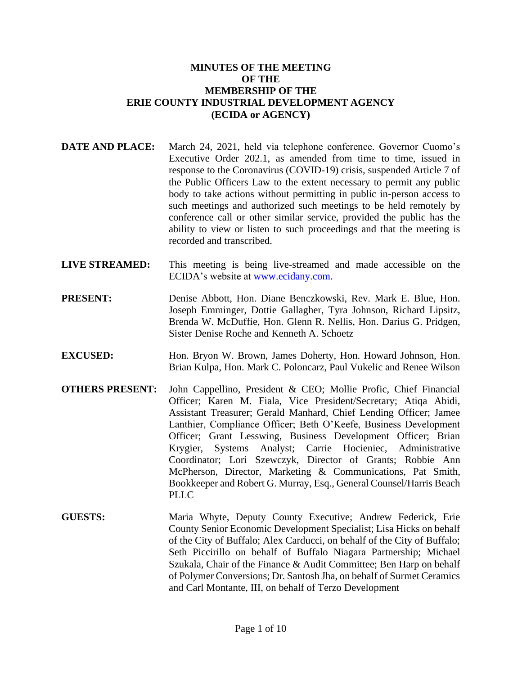## **MINUTES OF THE MEETING OF THE MEMBERSHIP OF THE ERIE COUNTY INDUSTRIAL DEVELOPMENT AGENCY (ECIDA or AGENCY)**

- **DATE AND PLACE:** March 24, 2021, held via telephone conference. Governor Cuomo's Executive Order 202.1, as amended from time to time, issued in response to the Coronavirus (COVID-19) crisis, suspended Article 7 of the Public Officers Law to the extent necessary to permit any public body to take actions without permitting in public in-person access to such meetings and authorized such meetings to be held remotely by conference call or other similar service, provided the public has the ability to view or listen to such proceedings and that the meeting is recorded and transcribed.
- **LIVE STREAMED:** This meeting is being live-streamed and made accessible on the ECIDA's website at [www.ecidany.com.](http://www.ecidany.com/)
- **PRESENT:** Denise Abbott, Hon. Diane Benczkowski, Rev. Mark E. Blue, Hon. Joseph Emminger, Dottie Gallagher, Tyra Johnson, Richard Lipsitz, Brenda W. McDuffie, Hon. Glenn R. Nellis, Hon. Darius G. Pridgen, Sister Denise Roche and Kenneth A. Schoetz
- **EXCUSED:** Hon. Bryon W. Brown, James Doherty, Hon. Howard Johnson, Hon. Brian Kulpa, Hon. Mark C. Poloncarz, Paul Vukelic and Renee Wilson
- **OTHERS PRESENT:** John Cappellino, President & CEO; Mollie Profic, Chief Financial Officer; Karen M. Fiala, Vice President/Secretary; Atiqa Abidi, Assistant Treasurer; Gerald Manhard, Chief Lending Officer; Jamee Lanthier, Compliance Officer; Beth O'Keefe, Business Development Officer; Grant Lesswing, Business Development Officer; Brian Krygier, Systems Analyst; Carrie Hocieniec, Administrative Coordinator; Lori Szewczyk, Director of Grants; Robbie Ann McPherson, Director, Marketing & Communications, Pat Smith, Bookkeeper and Robert G. Murray, Esq., General Counsel/Harris Beach PLLC<sub></sub>
- **GUESTS:** Maria Whyte, Deputy County Executive; Andrew Federick, Erie County Senior Economic Development Specialist; Lisa Hicks on behalf of the City of Buffalo; Alex Carducci, on behalf of the City of Buffalo; Seth Piccirillo on behalf of Buffalo Niagara Partnership; Michael Szukala, Chair of the Finance & Audit Committee; Ben Harp on behalf of Polymer Conversions; Dr. Santosh Jha, on behalf of Surmet Ceramics and Carl Montante, III, on behalf of Terzo Development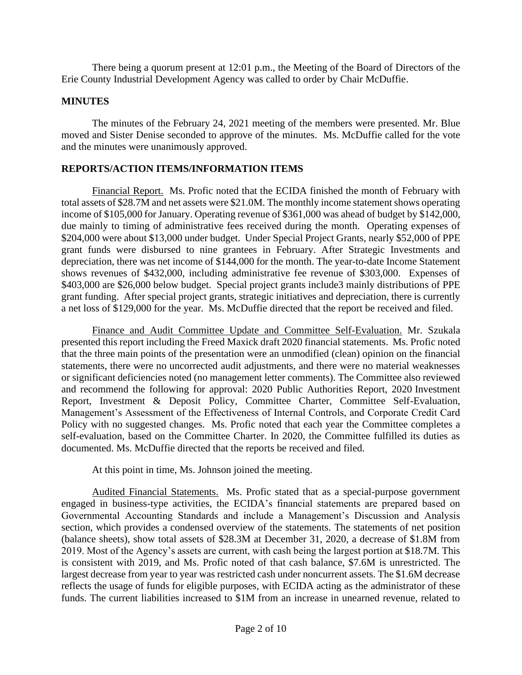There being a quorum present at 12:01 p.m., the Meeting of the Board of Directors of the Erie County Industrial Development Agency was called to order by Chair McDuffie.

### **MINUTES**

The minutes of the February 24, 2021 meeting of the members were presented. Mr. Blue moved and Sister Denise seconded to approve of the minutes. Ms. McDuffie called for the vote and the minutes were unanimously approved.

## **REPORTS/ACTION ITEMS/INFORMATION ITEMS**

Financial Report. Ms. Profic noted that the ECIDA finished the month of February with total assets of \$28.7M and net assets were \$21.0M. The monthly income statement shows operating income of \$105,000 for January. Operating revenue of \$361,000 was ahead of budget by \$142,000, due mainly to timing of administrative fees received during the month. Operating expenses of \$204,000 were about \$13,000 under budget. Under Special Project Grants, nearly \$52,000 of PPE grant funds were disbursed to nine grantees in February. After Strategic Investments and depreciation, there was net income of \$144,000 for the month. The year-to-date Income Statement shows revenues of \$432,000, including administrative fee revenue of \$303,000. Expenses of \$403,000 are \$26,000 below budget. Special project grants include3 mainly distributions of PPE grant funding. After special project grants, strategic initiatives and depreciation, there is currently a net loss of \$129,000 for the year. Ms. McDuffie directed that the report be received and filed.

Finance and Audit Committee Update and Committee Self-Evaluation. Mr. Szukala presented this report including the Freed Maxick draft 2020 financial statements. Ms. Profic noted that the three main points of the presentation were an unmodified (clean) opinion on the financial statements, there were no uncorrected audit adjustments, and there were no material weaknesses or significant deficiencies noted (no management letter comments). The Committee also reviewed and recommend the following for approval: 2020 Public Authorities Report, 2020 Investment Report, Investment & Deposit Policy, Committee Charter, Committee Self-Evaluation, Management's Assessment of the Effectiveness of Internal Controls, and Corporate Credit Card Policy with no suggested changes. Ms. Profic noted that each year the Committee completes a self-evaluation, based on the Committee Charter. In 2020, the Committee fulfilled its duties as documented. Ms. McDuffie directed that the reports be received and filed.

At this point in time, Ms. Johnson joined the meeting.

Audited Financial Statements. Ms. Profic stated that as a special-purpose government engaged in business-type activities, the ECIDA's financial statements are prepared based on Governmental Accounting Standards and include a Management's Discussion and Analysis section, which provides a condensed overview of the statements. The statements of net position (balance sheets), show total assets of \$28.3M at December 31, 2020, a decrease of \$1.8M from 2019. Most of the Agency's assets are current, with cash being the largest portion at \$18.7M. This is consistent with 2019, and Ms. Profic noted of that cash balance, \$7.6M is unrestricted. The largest decrease from year to year was restricted cash under noncurrent assets. The \$1.6M decrease reflects the usage of funds for eligible purposes, with ECIDA acting as the administrator of these funds. The current liabilities increased to \$1M from an increase in unearned revenue, related to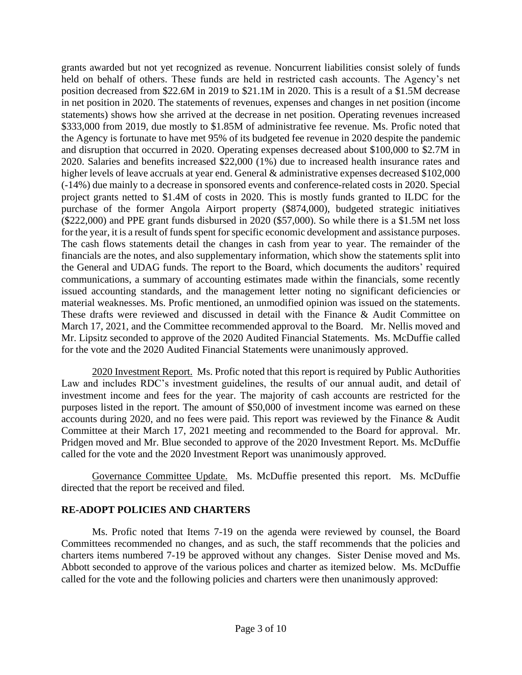grants awarded but not yet recognized as revenue. Noncurrent liabilities consist solely of funds held on behalf of others. These funds are held in restricted cash accounts. The Agency's net position decreased from \$22.6M in 2019 to \$21.1M in 2020. This is a result of a \$1.5M decrease in net position in 2020. The statements of revenues, expenses and changes in net position (income statements) shows how she arrived at the decrease in net position. Operating revenues increased \$333,000 from 2019, due mostly to \$1.85M of administrative fee revenue. Ms. Profic noted that the Agency is fortunate to have met 95% of its budgeted fee revenue in 2020 despite the pandemic and disruption that occurred in 2020. Operating expenses decreased about \$100,000 to \$2.7M in 2020. Salaries and benefits increased \$22,000 (1%) due to increased health insurance rates and higher levels of leave accruals at year end. General & administrative expenses decreased \$102,000 (-14%) due mainly to a decrease in sponsored events and conference-related costs in 2020. Special project grants netted to \$1.4M of costs in 2020. This is mostly funds granted to ILDC for the purchase of the former Angola Airport property (\$874,000), budgeted strategic initiatives (\$222,000) and PPE grant funds disbursed in 2020 (\$57,000). So while there is a \$1.5M net loss for the year, it is a result of funds spent for specific economic development and assistance purposes. The cash flows statements detail the changes in cash from year to year. The remainder of the financials are the notes, and also supplementary information, which show the statements split into the General and UDAG funds. The report to the Board, which documents the auditors' required communications, a summary of accounting estimates made within the financials, some recently issued accounting standards, and the management letter noting no significant deficiencies or material weaknesses. Ms. Profic mentioned, an unmodified opinion was issued on the statements. These drafts were reviewed and discussed in detail with the Finance & Audit Committee on March 17, 2021, and the Committee recommended approval to the Board. Mr. Nellis moved and Mr. Lipsitz seconded to approve of the 2020 Audited Financial Statements. Ms. McDuffie called for the vote and the 2020 Audited Financial Statements were unanimously approved.

2020 Investment Report. Ms. Profic noted that this report is required by Public Authorities Law and includes RDC's investment guidelines, the results of our annual audit, and detail of investment income and fees for the year. The majority of cash accounts are restricted for the purposes listed in the report. The amount of \$50,000 of investment income was earned on these accounts during 2020, and no fees were paid. This report was reviewed by the Finance & Audit Committee at their March 17, 2021 meeting and recommended to the Board for approval. Mr. Pridgen moved and Mr. Blue seconded to approve of the 2020 Investment Report. Ms. McDuffie called for the vote and the 2020 Investment Report was unanimously approved.

Governance Committee Update. Ms. McDuffie presented this report. Ms. McDuffie directed that the report be received and filed.

## **RE-ADOPT POLICIES AND CHARTERS**

Ms. Profic noted that Items 7-19 on the agenda were reviewed by counsel, the Board Committees recommended no changes, and as such, the staff recommends that the policies and charters items numbered 7-19 be approved without any changes. Sister Denise moved and Ms. Abbott seconded to approve of the various polices and charter as itemized below. Ms. McDuffie called for the vote and the following policies and charters were then unanimously approved: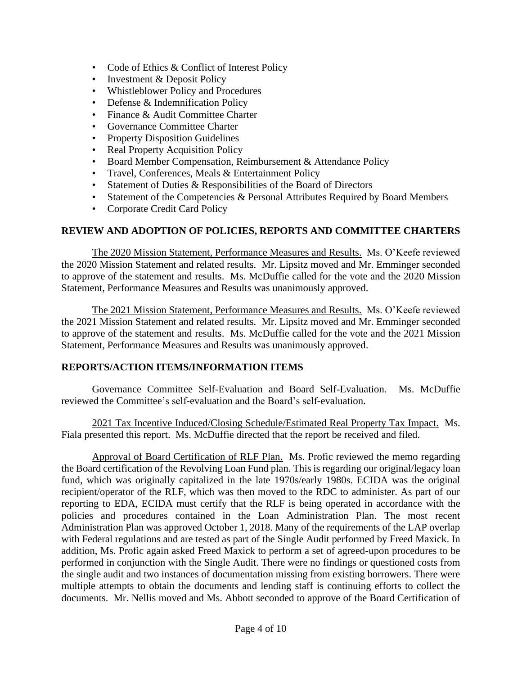- Code of Ethics & Conflict of Interest Policy
- Investment & Deposit Policy
- Whistleblower Policy and Procedures
- Defense & Indemnification Policy
- Finance & Audit Committee Charter
- Governance Committee Charter
- Property Disposition Guidelines
- Real Property Acquisition Policy
- Board Member Compensation, Reimbursement & Attendance Policy
- Travel, Conferences, Meals & Entertainment Policy
- Statement of Duties & Responsibilities of the Board of Directors
- Statement of the Competencies & Personal Attributes Required by Board Members
- Corporate Credit Card Policy

# **REVIEW AND ADOPTION OF POLICIES, REPORTS AND COMMITTEE CHARTERS**

The 2020 Mission Statement, Performance Measures and Results. Ms. O'Keefe reviewed the 2020 Mission Statement and related results. Mr. Lipsitz moved and Mr. Emminger seconded to approve of the statement and results. Ms. McDuffie called for the vote and the 2020 Mission Statement, Performance Measures and Results was unanimously approved.

The 2021 Mission Statement, Performance Measures and Results. Ms. O'Keefe reviewed the 2021 Mission Statement and related results. Mr. Lipsitz moved and Mr. Emminger seconded to approve of the statement and results. Ms. McDuffie called for the vote and the 2021 Mission Statement, Performance Measures and Results was unanimously approved.

## **REPORTS/ACTION ITEMS/INFORMATION ITEMS**

Governance Committee Self-Evaluation and Board Self-Evaluation. Ms. McDuffie reviewed the Committee's self-evaluation and the Board's self-evaluation.

2021 Tax Incentive Induced/Closing Schedule/Estimated Real Property Tax Impact. Ms. Fiala presented this report. Ms. McDuffie directed that the report be received and filed.

Approval of Board Certification of RLF Plan. Ms. Profic reviewed the memo regarding the Board certification of the Revolving Loan Fund plan. This is regarding our original/legacy loan fund, which was originally capitalized in the late 1970s/early 1980s. ECIDA was the original recipient/operator of the RLF, which was then moved to the RDC to administer. As part of our reporting to EDA, ECIDA must certify that the RLF is being operated in accordance with the policies and procedures contained in the Loan Administration Plan. The most recent Administration Plan was approved October 1, 2018. Many of the requirements of the LAP overlap with Federal regulations and are tested as part of the Single Audit performed by Freed Maxick. In addition, Ms. Profic again asked Freed Maxick to perform a set of agreed-upon procedures to be performed in conjunction with the Single Audit. There were no findings or questioned costs from the single audit and two instances of documentation missing from existing borrowers. There were multiple attempts to obtain the documents and lending staff is continuing efforts to collect the documents. Mr. Nellis moved and Ms. Abbott seconded to approve of the Board Certification of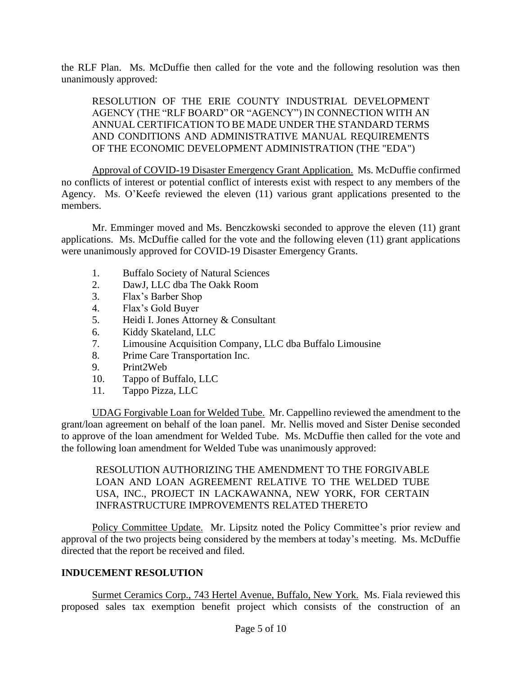the RLF Plan. Ms. McDuffie then called for the vote and the following resolution was then unanimously approved:

RESOLUTION OF THE ERIE COUNTY INDUSTRIAL DEVELOPMENT AGENCY (THE "RLF BOARD" OR "AGENCY") IN CONNECTION WITH AN ANNUAL CERTIFICATION TO BE MADE UNDER THE STANDARD TERMS AND CONDITIONS AND ADMINISTRATIVE MANUAL REQUIREMENTS OF THE ECONOMIC DEVELOPMENT ADMINISTRATION (THE "EDA")

Approval of COVID-19 Disaster Emergency Grant Application. Ms. McDuffie confirmed no conflicts of interest or potential conflict of interests exist with respect to any members of the Agency. Ms. O'Keefe reviewed the eleven (11) various grant applications presented to the members.

Mr. Emminger moved and Ms. Benczkowski seconded to approve the eleven (11) grant applications. Ms. McDuffie called for the vote and the following eleven (11) grant applications were unanimously approved for COVID-19 Disaster Emergency Grants.

- 1. Buffalo Society of Natural Sciences
- 2. DawJ, LLC dba The Oakk Room
- 3. Flax's Barber Shop
- 4. Flax's Gold Buyer
- 5. Heidi I. Jones Attorney & Consultant
- 6. Kiddy Skateland, LLC
- 7. Limousine Acquisition Company, LLC dba Buffalo Limousine
- 8. Prime Care Transportation Inc.
- 9. Print2Web
- 10. Tappo of Buffalo, LLC
- 11. Tappo Pizza, LLC

UDAG Forgivable Loan for Welded Tube. Mr. Cappellino reviewed the amendment to the grant/loan agreement on behalf of the loan panel. Mr. Nellis moved and Sister Denise seconded to approve of the loan amendment for Welded Tube. Ms. McDuffie then called for the vote and the following loan amendment for Welded Tube was unanimously approved:

RESOLUTION AUTHORIZING THE AMENDMENT TO THE FORGIVABLE LOAN AND LOAN AGREEMENT RELATIVE TO THE WELDED TUBE USA, INC., PROJECT IN LACKAWANNA, NEW YORK, FOR CERTAIN INFRASTRUCTURE IMPROVEMENTS RELATED THERETO

Policy Committee Update. Mr. Lipsitz noted the Policy Committee's prior review and approval of the two projects being considered by the members at today's meeting. Ms. McDuffie directed that the report be received and filed.

## **INDUCEMENT RESOLUTION**

Surmet Ceramics Corp., 743 Hertel Avenue, Buffalo, New York. Ms. Fiala reviewed this proposed sales tax exemption benefit project which consists of the construction of an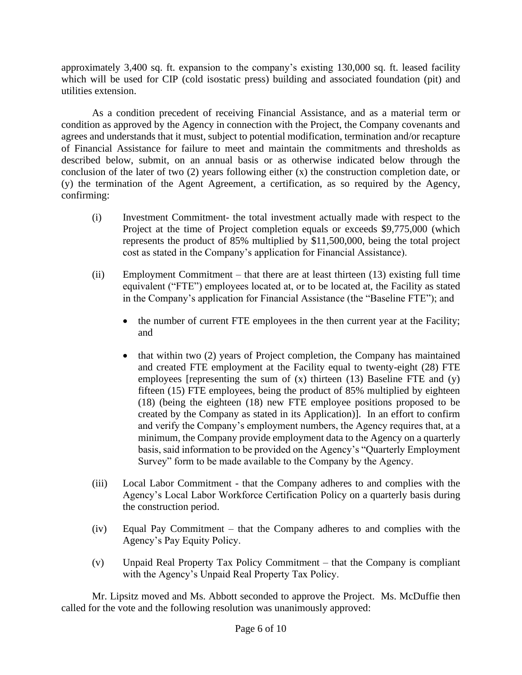approximately 3,400 sq. ft. expansion to the company's existing 130,000 sq. ft. leased facility which will be used for CIP (cold isostatic press) building and associated foundation (pit) and utilities extension.

As a condition precedent of receiving Financial Assistance, and as a material term or condition as approved by the Agency in connection with the Project, the Company covenants and agrees and understands that it must, subject to potential modification, termination and/or recapture of Financial Assistance for failure to meet and maintain the commitments and thresholds as described below, submit, on an annual basis or as otherwise indicated below through the conclusion of the later of two (2) years following either (x) the construction completion date, or (y) the termination of the Agent Agreement, a certification, as so required by the Agency, confirming:

- (i) Investment Commitment- the total investment actually made with respect to the Project at the time of Project completion equals or exceeds \$9,775,000 (which represents the product of 85% multiplied by \$11,500,000, being the total project cost as stated in the Company's application for Financial Assistance).
- (ii) Employment Commitment that there are at least thirteen (13) existing full time equivalent ("FTE") employees located at, or to be located at, the Facility as stated in the Company's application for Financial Assistance (the "Baseline FTE"); and
	- the number of current FTE employees in the then current year at the Facility; and
	- that within two (2) years of Project completion, the Company has maintained and created FTE employment at the Facility equal to twenty-eight (28) FTE employees [representing the sum of (x) thirteen (13) Baseline FTE and (y) fifteen (15) FTE employees, being the product of 85% multiplied by eighteen (18) (being the eighteen (18) new FTE employee positions proposed to be created by the Company as stated in its Application)]. In an effort to confirm and verify the Company's employment numbers, the Agency requires that, at a minimum, the Company provide employment data to the Agency on a quarterly basis, said information to be provided on the Agency's "Quarterly Employment Survey" form to be made available to the Company by the Agency.
- (iii) Local Labor Commitment that the Company adheres to and complies with the Agency's Local Labor Workforce Certification Policy on a quarterly basis during the construction period.
- (iv) Equal Pay Commitment that the Company adheres to and complies with the Agency's Pay Equity Policy.
- (v) Unpaid Real Property Tax Policy Commitment that the Company is compliant with the Agency's Unpaid Real Property Tax Policy.

Mr. Lipsitz moved and Ms. Abbott seconded to approve the Project. Ms. McDuffie then called for the vote and the following resolution was unanimously approved: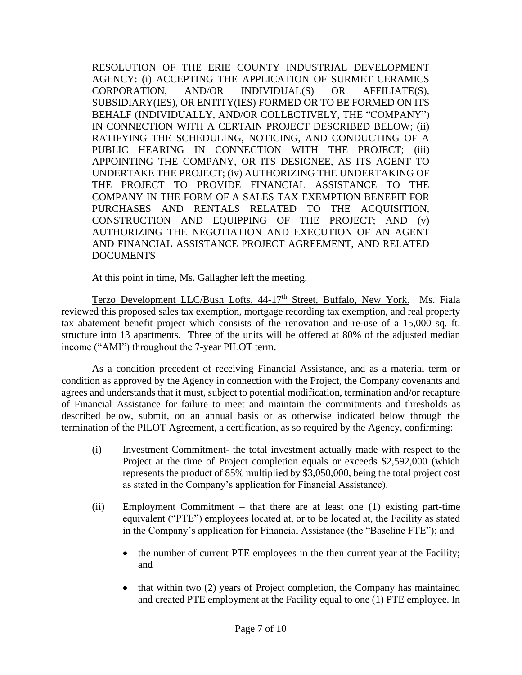RESOLUTION OF THE ERIE COUNTY INDUSTRIAL DEVELOPMENT AGENCY: (i) ACCEPTING THE APPLICATION OF SURMET CERAMICS CORPORATION, AND/OR INDIVIDUAL(S) OR AFFILIATE(S), SUBSIDIARY(IES), OR ENTITY(IES) FORMED OR TO BE FORMED ON ITS BEHALF (INDIVIDUALLY, AND/OR COLLECTIVELY, THE "COMPANY") IN CONNECTION WITH A CERTAIN PROJECT DESCRIBED BELOW; (ii) RATIFYING THE SCHEDULING, NOTICING, AND CONDUCTING OF A PUBLIC HEARING IN CONNECTION WITH THE PROJECT; (iii) APPOINTING THE COMPANY, OR ITS DESIGNEE, AS ITS AGENT TO UNDERTAKE THE PROJECT; (iv) AUTHORIZING THE UNDERTAKING OF THE PROJECT TO PROVIDE FINANCIAL ASSISTANCE TO THE COMPANY IN THE FORM OF A SALES TAX EXEMPTION BENEFIT FOR PURCHASES AND RENTALS RELATED TO THE ACQUISITION, CONSTRUCTION AND EQUIPPING OF THE PROJECT; AND (v) AUTHORIZING THE NEGOTIATION AND EXECUTION OF AN AGENT AND FINANCIAL ASSISTANCE PROJECT AGREEMENT, AND RELATED DOCUMENTS

At this point in time, Ms. Gallagher left the meeting.

Terzo Development LLC/Bush Lofts, 44-17<sup>th</sup> Street, Buffalo, New York. Ms. Fiala reviewed this proposed sales tax exemption, mortgage recording tax exemption, and real property tax abatement benefit project which consists of the renovation and re-use of a 15,000 sq. ft. structure into 13 apartments. Three of the units will be offered at 80% of the adjusted median income ("AMI") throughout the 7-year PILOT term.

As a condition precedent of receiving Financial Assistance, and as a material term or condition as approved by the Agency in connection with the Project, the Company covenants and agrees and understands that it must, subject to potential modification, termination and/or recapture of Financial Assistance for failure to meet and maintain the commitments and thresholds as described below, submit, on an annual basis or as otherwise indicated below through the termination of the PILOT Agreement, a certification, as so required by the Agency, confirming:

- (i) Investment Commitment- the total investment actually made with respect to the Project at the time of Project completion equals or exceeds \$2,592,000 (which represents the product of 85% multiplied by \$3,050,000, being the total project cost as stated in the Company's application for Financial Assistance).
- (ii) Employment Commitment that there are at least one (1) existing part-time equivalent ("PTE") employees located at, or to be located at, the Facility as stated in the Company's application for Financial Assistance (the "Baseline FTE"); and
	- the number of current PTE employees in the then current year at the Facility; and
	- that within two (2) years of Project completion, the Company has maintained and created PTE employment at the Facility equal to one (1) PTE employee. In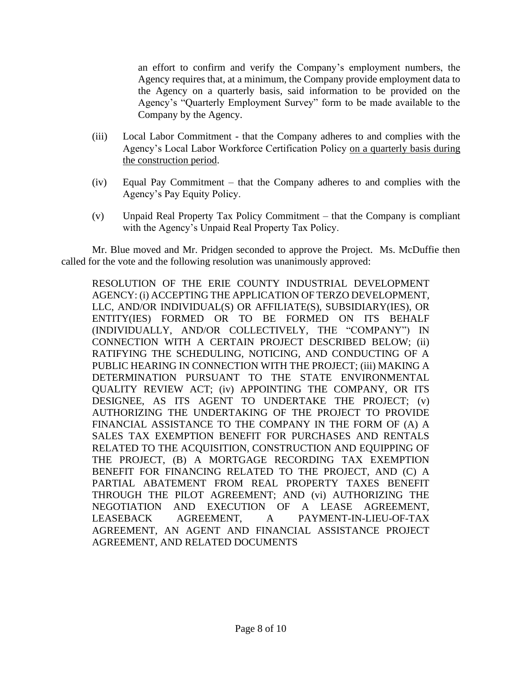an effort to confirm and verify the Company's employment numbers, the Agency requires that, at a minimum, the Company provide employment data to the Agency on a quarterly basis, said information to be provided on the Agency's "Quarterly Employment Survey" form to be made available to the Company by the Agency.

- (iii) Local Labor Commitment that the Company adheres to and complies with the Agency's Local Labor Workforce Certification Policy on a quarterly basis during the construction period.
- (iv) Equal Pay Commitment that the Company adheres to and complies with the Agency's Pay Equity Policy.
- (v) Unpaid Real Property Tax Policy Commitment that the Company is compliant with the Agency's Unpaid Real Property Tax Policy.

Mr. Blue moved and Mr. Pridgen seconded to approve the Project. Ms. McDuffie then called for the vote and the following resolution was unanimously approved:

RESOLUTION OF THE ERIE COUNTY INDUSTRIAL DEVELOPMENT AGENCY: (i) ACCEPTING THE APPLICATION OF TERZO DEVELOPMENT, LLC, AND/OR INDIVIDUAL(S) OR AFFILIATE(S), SUBSIDIARY(IES), OR ENTITY(IES) FORMED OR TO BE FORMED ON ITS BEHALF (INDIVIDUALLY, AND/OR COLLECTIVELY, THE "COMPANY") IN CONNECTION WITH A CERTAIN PROJECT DESCRIBED BELOW; (ii) RATIFYING THE SCHEDULING, NOTICING, AND CONDUCTING OF A PUBLIC HEARING IN CONNECTION WITH THE PROJECT; (iii) MAKING A DETERMINATION PURSUANT TO THE STATE ENVIRONMENTAL QUALITY REVIEW ACT; (iv) APPOINTING THE COMPANY, OR ITS DESIGNEE, AS ITS AGENT TO UNDERTAKE THE PROJECT; (v) AUTHORIZING THE UNDERTAKING OF THE PROJECT TO PROVIDE FINANCIAL ASSISTANCE TO THE COMPANY IN THE FORM OF (A) A SALES TAX EXEMPTION BENEFIT FOR PURCHASES AND RENTALS RELATED TO THE ACQUISITION, CONSTRUCTION AND EQUIPPING OF THE PROJECT, (B) A MORTGAGE RECORDING TAX EXEMPTION BENEFIT FOR FINANCING RELATED TO THE PROJECT, AND (C) A PARTIAL ABATEMENT FROM REAL PROPERTY TAXES BENEFIT THROUGH THE PILOT AGREEMENT; AND (vi) AUTHORIZING THE NEGOTIATION AND EXECUTION OF A LEASE AGREEMENT, LEASEBACK AGREEMENT, A PAYMENT-IN-LIEU-OF-TAX AGREEMENT, AN AGENT AND FINANCIAL ASSISTANCE PROJECT AGREEMENT, AND RELATED DOCUMENTS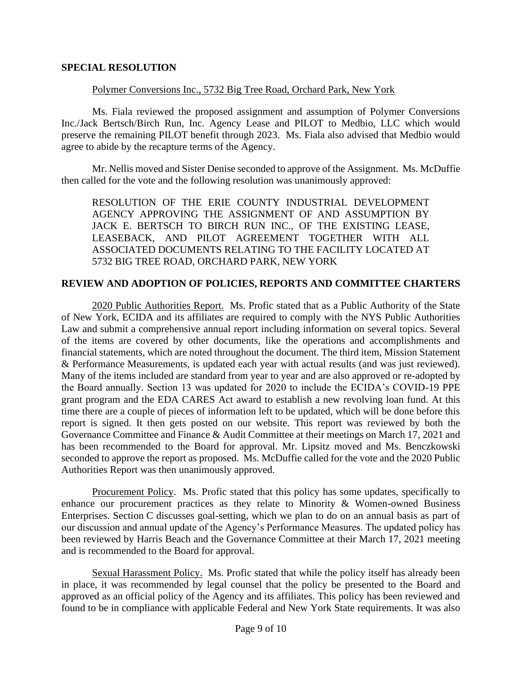### **SPECIAL RESOLUTION**

#### Polymer Conversions Inc., 5732 Big Tree Road, Orchard Park, New York

Ms. Fiala reviewed the proposed assignment and assumption of Polymer Conversions Inc./Jack Bertsch/Birch Run, Inc. Agency Lease and PILOT to Medbio, LLC which would preserve the remaining PILOT benefit through 2023. Ms. Fiala also advised that Medbio would agree to abide by the recapture terms of the Agency.

Mr. Nellis moved and Sister Denise seconded to approve of the Assignment. Ms. McDuffie then called for the vote and the following resolution was unanimously approved:

RESOLUTION OF THE ERIE COUNTY INDUSTRIAL DEVELOPMENT AGENCY APPROVING THE ASSIGNMENT OF AND ASSUMPTION BY JACK E. BERTSCH TO BIRCH RUN INC., OF THE EXISTING LEASE, LEASEBACK, AND PILOT AGREEMENT TOGETHER WITH ALL ASSOCIATED DOCUMENTS RELATING TO THE FACILITY LOCATED AT 5732 BIG TREE ROAD, ORCHARD PARK, NEW YORK

#### **REVIEW AND ADOPTION OF POLICIES, REPORTS AND COMMITTEE CHARTERS**

2020 Public Authorities Report. Ms. Profic stated that as a Public Authority of the State of New York, ECIDA and its affiliates are required to comply with the NYS Public Authorities Law and submit a comprehensive annual report including information on several topics. Several of the items are covered by other documents, like the operations and accomplishments and financial statements, which are noted throughout the document. The third item, Mission Statement & Performance Measurements, is updated each year with actual results (and was just reviewed). Many of the items included are standard from year to year and are also approved or re-adopted by the Board annually. Section 13 was updated for 2020 to include the ECIDA's COVID-19 PPE grant program and the EDA CARES Act award to establish a new revolving loan fund. At this time there are a couple of pieces of information left to be updated, which will be done before this report is signed. It then gets posted on our website. This report was reviewed by both the Governance Committee and Finance & Audit Committee at their meetings on March 17, 2021 and has been recommended to the Board for approval. Mr. Lipsitz moved and Ms. Benczkowski seconded to approve the report as proposed. Ms. McDuffie called for the vote and the 2020 Public Authorities Report was then unanimously approved.

Procurement Policy. Ms. Profic stated that this policy has some updates, specifically to enhance our procurement practices as they relate to Minority & Women-owned Business Enterprises. Section C discusses goal-setting, which we plan to do on an annual basis as part of our discussion and annual update of the Agency's Performance Measures. The updated policy has been reviewed by Harris Beach and the Governance Committee at their March 17, 2021 meeting and is recommended to the Board for approval.

Sexual Harassment Policy. Ms. Profic stated that while the policy itself has already been in place, it was recommended by legal counsel that the policy be presented to the Board and approved as an official policy of the Agency and its affiliates. This policy has been reviewed and found to be in compliance with applicable Federal and New York State requirements. It was also